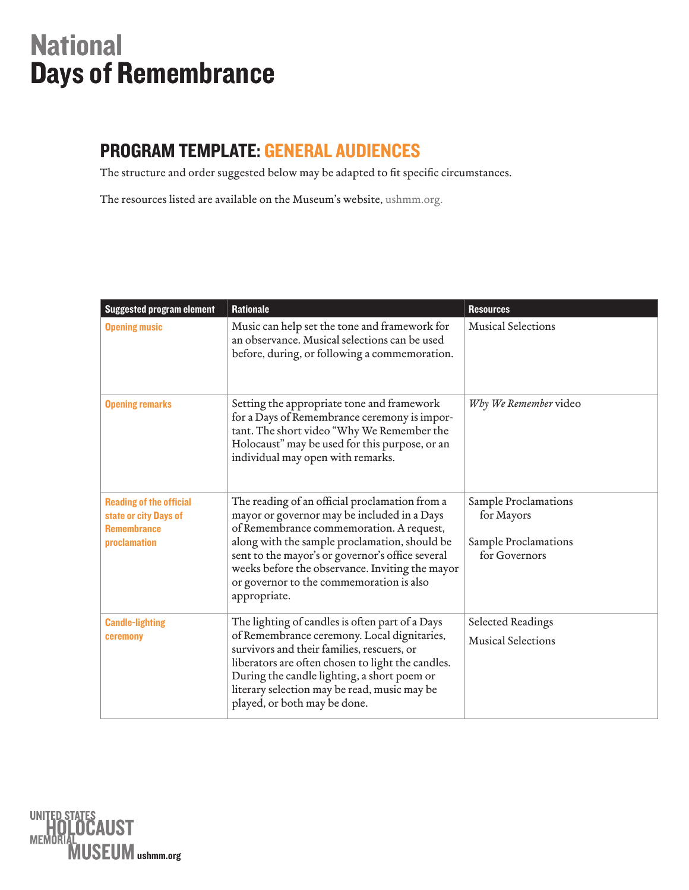## **National** Days of Remembrance

## PROGRAM TEMPLATE: General Audiences

The structure and order suggested below may be adapted to fit specific circumstances.

The resources listed are available on the Museum's website, [ushmm.org](https://www.ushmm.org/survivors-victims/days-of-remembrance/resources).

| <b>Suggested program element</b>                                                              | <b>Rationale</b>                                                                                                                                                                                                                                                                                                                                              | <b>Resources</b>                                                            |
|-----------------------------------------------------------------------------------------------|---------------------------------------------------------------------------------------------------------------------------------------------------------------------------------------------------------------------------------------------------------------------------------------------------------------------------------------------------------------|-----------------------------------------------------------------------------|
| <b>Opening music</b>                                                                          | Music can help set the tone and framework for<br>an observance. Musical selections can be used<br>before, during, or following a commemoration.                                                                                                                                                                                                               | <b>Musical Selections</b>                                                   |
| <b>Opening remarks</b>                                                                        | Setting the appropriate tone and framework<br>for a Days of Remembrance ceremony is impor-<br>tant. The short video "Why We Remember the<br>Holocaust" may be used for this purpose, or an<br>individual may open with remarks.                                                                                                                               | Why We Remember video                                                       |
| <b>Reading of the official</b><br>state or city Days of<br><b>Remembrance</b><br>proclamation | The reading of an official proclamation from a<br>mayor or governor may be included in a Days<br>of Remembrance commemoration. A request,<br>along with the sample proclamation, should be<br>sent to the mayor's or governor's office several<br>weeks before the observance. Inviting the mayor<br>or governor to the commemoration is also<br>appropriate. | Sample Proclamations<br>for Mayors<br>Sample Proclamations<br>for Governors |
| <b>Candle-lighting</b><br>ceremony                                                            | The lighting of candles is often part of a Days<br>of Remembrance ceremony. Local dignitaries,<br>survivors and their families, rescuers, or<br>liberators are often chosen to light the candles.<br>During the candle lighting, a short poem or<br>literary selection may be read, music may be<br>played, or both may be done.                              | Selected Readings<br><b>Musical Selections</b>                              |